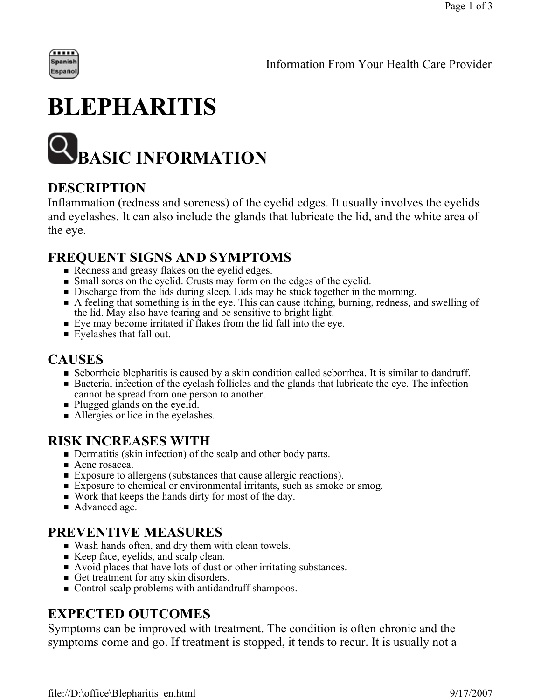

## **BLEPHARITIS**



#### **DESCRIPTION**

Inflammation (redness and soreness) of the eyelid edges. It usually involves the eyelids and eyelashes. It can also include the glands that lubricate the lid, and the white area of the eye.

#### **FREQUENT SIGNS AND SYMPTOMS**

- Redness and greasy flakes on the eyelid edges.
- Small sores on the eyelid. Crusts may form on the edges of the eyelid.
- Discharge from the lids during sleep. Lids may be stuck together in the morning.
- A feeling that something is in the eye. This can cause itching, burning, redness, and swelling of the lid. May also have tearing and be sensitive to bright light.
- Eye may become irritated if flakes from the lid fall into the eye.
- **Eyelashes that fall out.**

#### **CAUSES**

- Seborrheic blepharitis is caused by a skin condition called seborrhea. It is similar to dandruff.
- Bacterial infection of the eyelash follicles and the glands that lubricate the eye. The infection cannot be spread from one person to another.
- Plugged glands on the eyelid.
- Allergies or lice in the eyelashes.

#### **RISK INCREASES WITH**

- Dermatitis (skin infection) of the scalp and other body parts.
- Acne rosacea.
- Exposure to allergens (substances that cause allergic reactions).
- Exposure to chemical or environmental irritants, such as smoke or smog.
- Work that keeps the hands dirty for most of the day.
- Advanced age.

#### **PREVENTIVE MEASURES**

- Wash hands often, and dry them with clean towels.
- Keep face, eyelids, and scalp clean.
- Avoid places that have lots of dust or other irritating substances.
- Get treatment for any skin disorders.
- Control scalp problems with antidandruff shampoos.

#### **EXPECTED OUTCOMES**

Symptoms can be improved with treatment. The condition is often chronic and the symptoms come and go. If treatment is stopped, it tends to recur. It is usually not a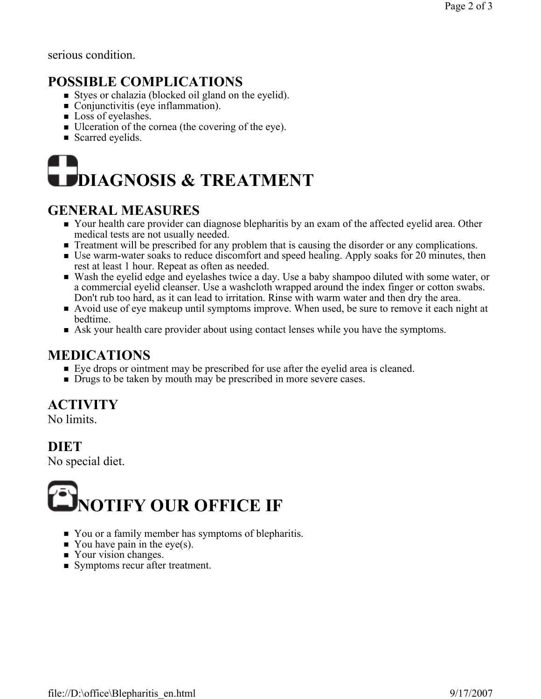serious condition.

#### **POSSIBLE COMPLICATIONS**

- Styes or chalazia (blocked oil gland on the eyelid).
- Conjunctivitis (eye inflammation).
- Loss of eyelashes.
- Ulceration of the cornea (the covering of the eye).
- Scarred eyelids.

# **DIAGNOSIS & TREATMENT**

#### **GENERAL MEASURES**

- Your health care provider can diagnose blepharitis by an exam of the affected eyelid area. Other medical tests are not usually needed.
- **Treatment will be prescribed for any problem that is causing the disorder or any complications.**
- Use warm-water soaks to reduce discomfort and speed healing. Apply soaks for 20 minutes, then rest at least 1 hour. Repeat as often as needed.
- Wash the eyelid edge and eyelashes twice a day. Use a baby shampoo diluted with some water, or a commercial eyelid cleanser. Use a washcloth wrapped around the index finger or cotton swabs. Don't rub too hard, as it can lead to irritation. Rinse with warm water and then dry the area.
- Avoid use of eye makeup until symptoms improve. When used, be sure to remove it each night at bedtime.
- Ask your health care provider about using contact lenses while you have the symptoms.

#### **MEDICATIONS**

- Eye drops or ointment may be prescribed for use after the eyelid area is cleaned.
- Drugs to be taken by mouth may be prescribed in more severe cases.

### **ACTIVITY**

No limits.

**DIET** 

No special diet.



- You or a family member has symptoms of blepharitis.
- You have pain in the eye(s).
- Your vision changes.
- Symptoms recur after treatment.